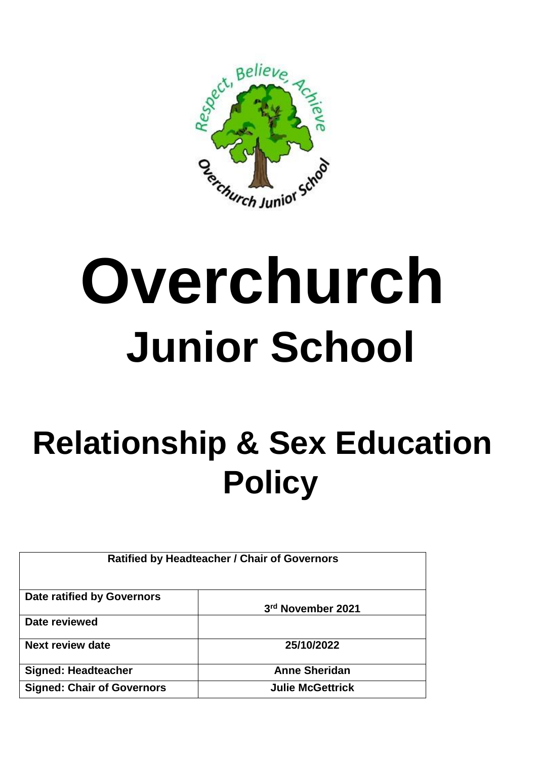

## **Overchurch Junior School**

## **Relationship & Sex Education Policy**

| <b>Ratified by Headteacher / Chair of Governors</b> |                         |
|-----------------------------------------------------|-------------------------|
| Date ratified by Governors                          | 3rd November 2021       |
| Date reviewed                                       |                         |
| <b>Next review date</b>                             | 25/10/2022              |
| <b>Signed: Headteacher</b>                          | <b>Anne Sheridan</b>    |
| <b>Signed: Chair of Governors</b>                   | <b>Julie McGettrick</b> |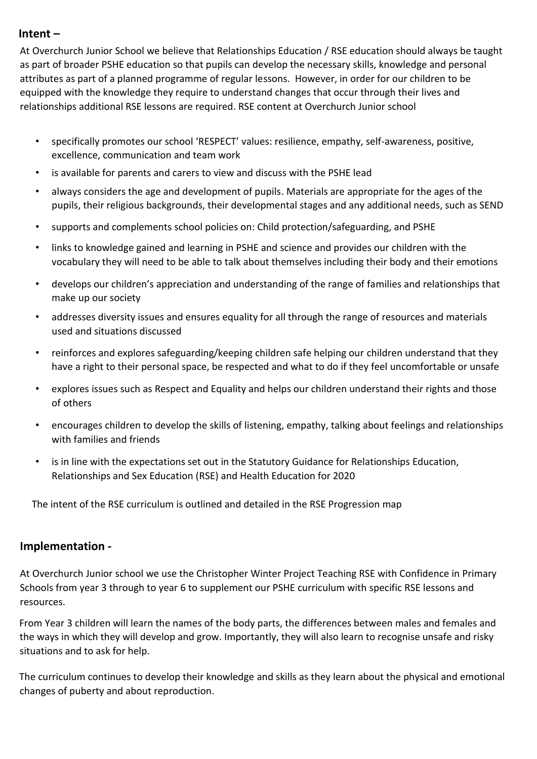## **Intent –**

At Overchurch Junior School we believe that Relationships Education / RSE education should always be taught as part of broader PSHE education so that pupils can develop the necessary skills, knowledge and personal attributes as part of a planned programme of regular lessons. However, in order for our children to be equipped with the knowledge they require to understand changes that occur through their lives and relationships additional RSE lessons are required. RSE content at Overchurch Junior school

- specifically promotes our school 'RESPECT' values: resilience, empathy, self-awareness, positive, excellence, communication and team work
- is available for parents and carers to view and discuss with the PSHE lead
- always considers the age and development of pupils. Materials are appropriate for the ages of the pupils, their religious backgrounds, their developmental stages and any additional needs, such as SEND
- supports and complements school policies on: Child protection/safeguarding, and PSHE
- links to knowledge gained and learning in PSHE and science and provides our children with the vocabulary they will need to be able to talk about themselves including their body and their emotions
- develops our children's appreciation and understanding of the range of families and relationships that make up our society
- addresses diversity issues and ensures equality for all through the range of resources and materials used and situations discussed
- reinforces and explores safeguarding/keeping children safe helping our children understand that they have a right to their personal space, be respected and what to do if they feel uncomfortable or unsafe
- explores issues such as Respect and Equality and helps our children understand their rights and those of others
- encourages children to develop the skills of listening, empathy, talking about feelings and relationships with families and friends
- is in line with the expectations set out in the Statutory Guidance for Relationships Education, Relationships and Sex Education (RSE) and Health Education for 2020

The intent of the RSE curriculum is outlined and detailed in the RSE Progression map

## **Implementation -**

At Overchurch Junior school we use the Christopher Winter Project Teaching RSE with Confidence in Primary Schools from year 3 through to year 6 to supplement our PSHE curriculum with specific RSE lessons and resources.

From Year 3 children will learn the names of the body parts, the differences between males and females and the ways in which they will develop and grow. Importantly, they will also learn to recognise unsafe and risky situations and to ask for help.

The curriculum continues to develop their knowledge and skills as they learn about the physical and emotional changes of puberty and about reproduction.